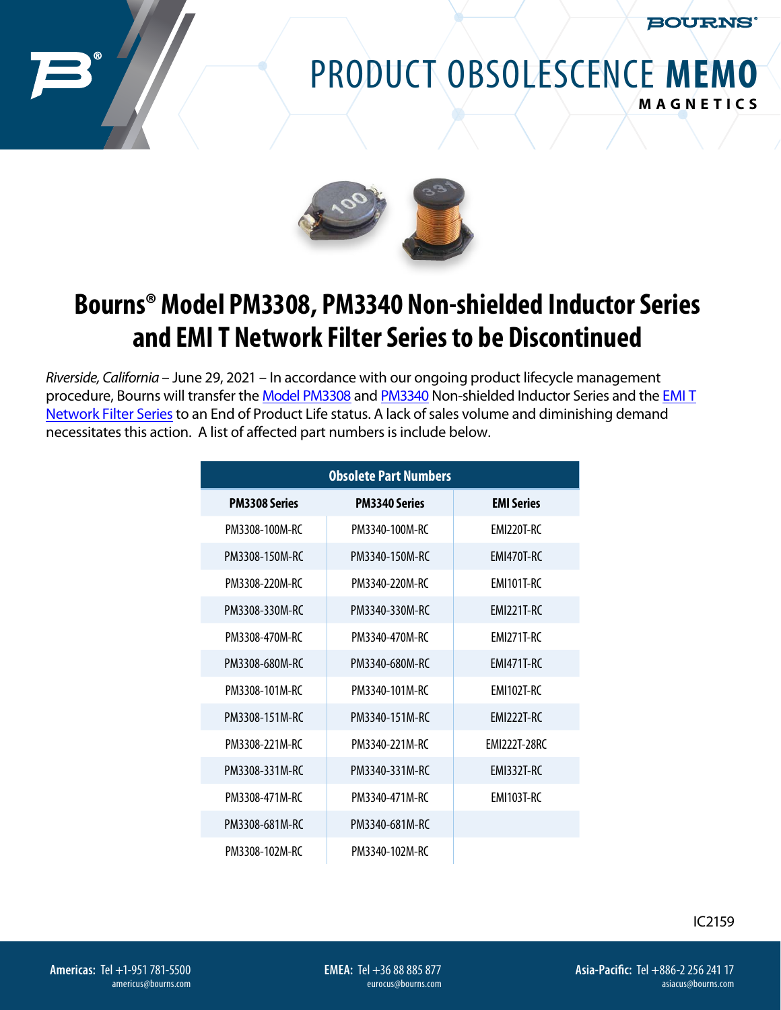**BOURNS** 

## PRODUCT OBSOLESCENCE **MEMO MAGNETICS**



## **Bourns® Model PM3308, PM3340 Non-shielded Inductor Series and EMI T Network Filter Series to be Discontinued**

*Riverside, California* – June 29, 2021 – In accordance with our ongoing product lifecycle management procedure, Bourns will transfer the Model [PM3308](https://www.bourns.com/docs/product-datasheets/pm3308_series.pdf) and [PM3340](https://www.bourns.com/docs/product-datasheets/pm3340_series.pdf) Non-shielded Inductor Seri[es and the](https://www.bourns.com/docs/product-datasheets/emi_t_series.pdf) EMI T Network Filter [Series](https://www.bourns.com/docs/product-datasheets/emi_t_series.pdf) to an End of Product Life status. A lack of sales volume and diminishing demand necessitates this action. A list of affected part numbers is include below.

| <b>Obsolete Part Numbers</b> |                      |                     |
|------------------------------|----------------------|---------------------|
| <b>PM3308 Series</b>         | <b>PM3340 Series</b> | <b>EMI Series</b>   |
| PM3308-100M-RC               | PM3340-100M-RC       | FMI220T-RC          |
| PM3308-150M-RC               | PM3340-150M-RC       | FMI470T-RC          |
| PM3308-220M-RC               | PM3340-220M-RC       | FMI101T-RC          |
| PM3308-330M-RC               | PM3340-330M-RC       | FMI221T-RC          |
| PM3308-470M-RC               | PM3340-470M-RC       | FMI271T-RC          |
| PM3308-680M-RC               | PM3340-680M-RC       | <b>FMI471T-RC</b>   |
| PM3308-101M-RC               | PM3340-101M-RC       | FMI102T-RC          |
| PM3308-151M-RC               | PM3340-151M-RC       | EMI222T-RC          |
| PM3308-221M-RC               | PM3340-221M-RC       | <b>FMI222T-28RC</b> |
| PM3308-331M-RC               | PM3340-331M-RC       | <b>FMI332T-RC</b>   |
| PM3308-471M-RC               | PM3340-471M-RC       | FMI103T-RC          |
| PM3308-681M-RC               | PM3340-681M-RC       |                     |
| PM3308-102M-RC               | PM3340-102M-RC       |                     |

IC2159